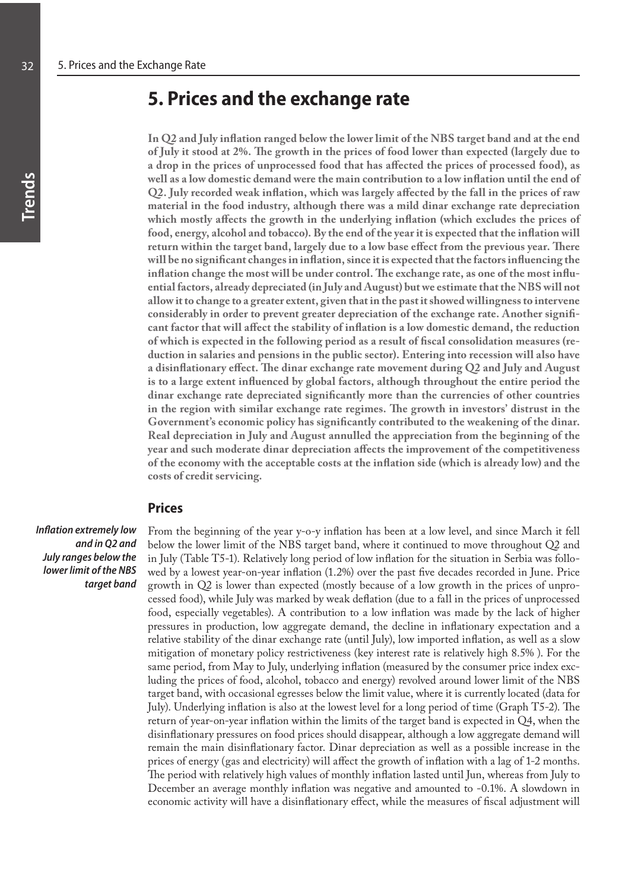## **5. Prices and the exchange rate**

**In Q2 and July inflation ranged below the lower limit of the NBS target band and at the end of July it stood at 2%. The growth in the prices of food lower than expected (largely due to a drop in the prices of unprocessed food that has affected the prices of processed food), as well as a low domestic demand were the main contribution to a low inflation until the end of Q2. July recorded weak inflation, which was largely affected by the fall in the prices of raw material in the food industry, although there was a mild dinar exchange rate depreciation which mostly affects the growth in the underlying inflation (which excludes the prices of food, energy, alcohol and tobacco). By the end of the year it is expected that the inflation will return within the target band, largely due to a low base effect from the previous year. There will be no significant changes in inflation, since it is expected that the factors influencing the inflation change the most will be under control. The exchange rate, as one of the most influential factors, already depreciated (in July and August) but we estimate that the NBS will not allow it to change to a greater extent, given that in the past it showed willingness to intervene considerably in order to prevent greater depreciation of the exchange rate. Another significant factor that will affect the stability of inflation is a low domestic demand, the reduction of which is expected in the following period as a result of fiscal consolidation measures (reduction in salaries and pensions in the public sector). Entering into recession will also have a disinflationary effect. The dinar exchange rate movement during Q2 and July and August is to a large extent influenced by global factors, although throughout the entire period the dinar exchange rate depreciated significantly more than the currencies of other countries in the region with similar exchange rate regimes. The growth in investors' distrust in the Government's economic policy has significantly contributed to the weakening of the dinar. Real depreciation in July and August annulled the appreciation from the beginning of the year and such moderate dinar depreciation affects the improvement of the competitiveness of the economy with the acceptable costs at the inflation side (which is already low) and the costs of credit servicing.** 

## **Prices**

*Inflation extremely low and in Q2 and July ranges below the lower limit of the NBS target band* From the beginning of the year y-o-y inflation has been at a low level, and since March it fell below the lower limit of the NBS target band, where it continued to move throughout Q2 and in July (Table T5-1). Relatively long period of low inflation for the situation in Serbia was followed by a lowest year-on-year inflation (1.2%) over the past five decades recorded in June. Price growth in Q2 is lower than expected (mostly because of a low growth in the prices of unprocessed food), while July was marked by weak deflation (due to a fall in the prices of unprocessed food, especially vegetables). A contribution to a low inflation was made by the lack of higher pressures in production, low aggregate demand, the decline in inflationary expectation and a relative stability of the dinar exchange rate (until July), low imported inflation, as well as a slow mitigation of monetary policy restrictiveness (key interest rate is relatively high 8.5% ). For the same period, from May to July, underlying inflation (measured by the consumer price index excluding the prices of food, alcohol, tobacco and energy) revolved around lower limit of the NBS target band, with occasional egresses below the limit value, where it is currently located (data for July). Underlying inflation is also at the lowest level for a long period of time (Graph T5-2). The return of year-on-year inflation within the limits of the target band is expected in Q4, when the disinflationary pressures on food prices should disappear, although a low aggregate demand will remain the main disinflationary factor. Dinar depreciation as well as a possible increase in the prices of energy (gas and electricity) will affect the growth of inflation with a lag of 1-2 months. The period with relatively high values of monthly inflation lasted until Jun, whereas from July to December an average monthly inflation was negative and amounted to -0.1%. A slowdown in economic activity will have a disinflationary effect, while the measures of fiscal adjustment will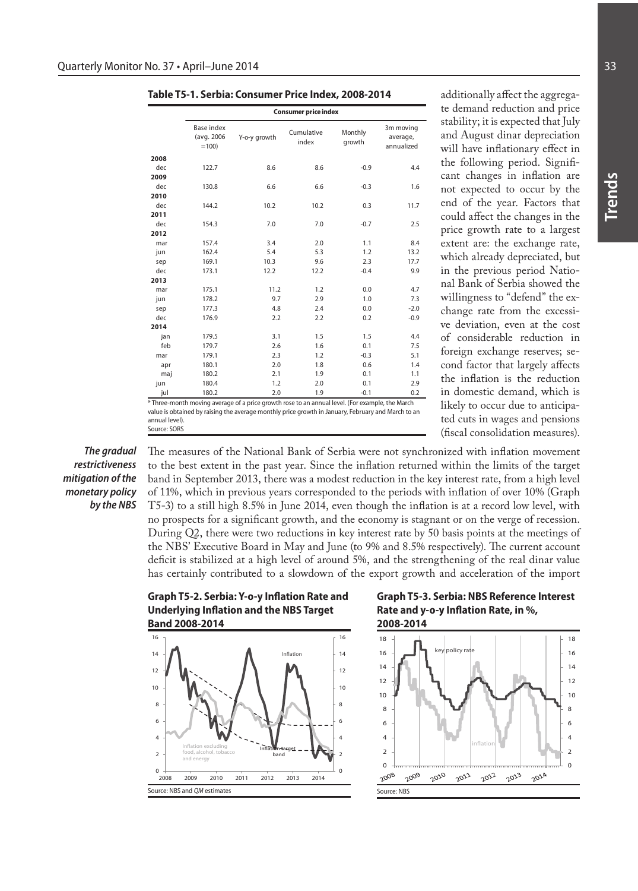| Table T5-1. Serbia: Consumer Price Index, 2008-2014 |  |  |
|-----------------------------------------------------|--|--|
|-----------------------------------------------------|--|--|

|      |                                            | <b>Consumer price index</b> |                     |                   |                                     |  |  |
|------|--------------------------------------------|-----------------------------|---------------------|-------------------|-------------------------------------|--|--|
|      | <b>Base index</b><br>(avg. 2006)<br>$=100$ | Y-o-y growth                | Cumulative<br>index | Monthly<br>growth | 3m moving<br>average,<br>annualized |  |  |
| 2008 |                                            |                             |                     |                   |                                     |  |  |
| dec  | 122.7                                      | 8.6                         | 8.6                 | $-0.9$            | 4.4                                 |  |  |
| 2009 |                                            |                             |                     |                   |                                     |  |  |
| dec  | 130.8                                      | 6.6                         | 6.6                 | $-0.3$            | 1.6                                 |  |  |
| 2010 |                                            |                             |                     |                   |                                     |  |  |
| dec  | 144.2                                      | 10.2                        | 10.2                | 0.3               | 11.7                                |  |  |
| 2011 |                                            |                             |                     |                   |                                     |  |  |
| dec  | 154.3                                      | 7.0                         | 7.0                 | $-0.7$            | 2.5                                 |  |  |
| 2012 |                                            |                             |                     |                   |                                     |  |  |
| mar  | 157.4                                      | 3.4                         | 2.0                 | 1.1               | 8.4                                 |  |  |
| jun  | 162.4                                      | 5.4                         | 5.3                 | 1.2               | 13.2                                |  |  |
| sep  | 169.1                                      | 10.3                        | 9.6                 | 2.3               | 17.7                                |  |  |
| dec  | 173.1                                      | 12.2                        | 12.2                | $-0.4$            | 9.9                                 |  |  |
| 2013 |                                            |                             |                     |                   |                                     |  |  |
| mar  | 175.1                                      | 11.2                        | 1.2                 | 0.0               | 4.7                                 |  |  |
| jun  | 178.2                                      | 9.7                         | 2.9                 | 1.0               | 7.3                                 |  |  |
| sep  | 177.3                                      | 4.8                         | 2.4                 | 0.0               | $-2.0$                              |  |  |
| dec  | 176.9                                      | 2.2                         | 2.2                 | 0.2               | $-0.9$                              |  |  |
| 2014 |                                            |                             |                     |                   |                                     |  |  |
| jan  | 179.5                                      | 3.1                         | 1.5                 | 1.5               | 4.4                                 |  |  |
| feb  | 179.7                                      | 2.6                         | 1.6                 | 0.1               | 7.5                                 |  |  |
| mar  | 179.1                                      | 2.3                         | 1.2                 | $-0.3$            | 5.1                                 |  |  |
| apr  | 180.1                                      | 2.0                         | 1.8                 | 0.6               | 1.4                                 |  |  |
| maj  | 180.2                                      | 2.1                         | 1.9                 | 0.1               | 1.1                                 |  |  |
| jun  | 180.4                                      | 1.2                         | 2.0                 | 0.1               | 2.9                                 |  |  |
| jul  | 180.2                                      | 2.0                         | 1.9                 | $-0.1$            | 0.2                                 |  |  |

\* Three-month moving average of a price growth rose to an annual level. (For example, the March value is obtained by raising the average monthly price growth in January, February and March to an annual level). Source: SORS

*The gradual restrictiveness mitigation of the monetary policy by the NBS*

The measures of the National Bank of Serbia were not synchronized with inflation movement to the best extent in the past year. Since the inflation returned within the limits of the target band in September 2013, there was a modest reduction in the key interest rate, from a high level of 11%, which in previous years corresponded to the periods with inflation of over 10% (Graph T5-3) to a still high 8.5% in June 2014, even though the inflation is at a record low level, with no prospects for a significant growth, and the economy is stagnant or on the verge of recession. During Q2, there were two reductions in key interest rate by 50 basis points at the meetings of the NBS' Executive Board in May and June (to 9% and 8.5% respectively). The current account deficit is stabilized at a high level of around 5%, and the strengthening of the real dinar value has certainly contributed to a slowdown of the export growth and acceleration of the import

**Graph T5-2. Serbia: Y-o-y Inflation Rate and Underlying Inflation and the NBS Target Band 2008-2014**



**Graph T5-3. Serbia: NBS Reference Interest Rate and y-o-y Inflation Rate, in %,** 



additionally affect the aggregate demand reduction and price stability; it is expected that July and August dinar depreciation will have inflationary effect in the following period. Significant changes in inflation are not expected to occur by the end of the year. Factors that could affect the changes in the price growth rate to a largest extent are: the exchange rate, which already depreciated, but in the previous period National Bank of Serbia showed the willingness to "defend" the exchange rate from the excessive deviation, even at the cost of considerable reduction in foreign exchange reserves; second factor that largely affects the inflation is the reduction in domestic demand, which is likely to occur due to anticipated cuts in wages and pensions (fiscal consolidation measures).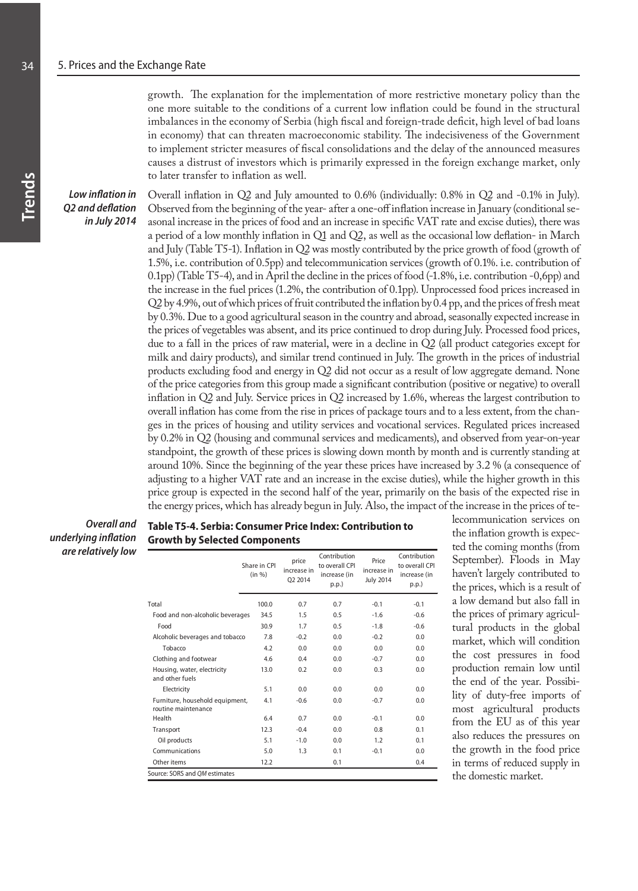growth. The explanation for the implementation of more restrictive monetary policy than the one more suitable to the conditions of a current low inflation could be found in the structural imbalances in the economy of Serbia (high fiscal and foreign-trade deficit, high level of bad loans in economy) that can threaten macroeconomic stability. The indecisiveness of the Government to implement stricter measures of fiscal consolidations and the delay of the announced measures causes a distrust of investors which is primarily expressed in the foreign exchange market, only to later transfer to inflation as well.

*Low inflation in Q2 and deflation in July 2014*

Overall inflation in Q2 and July amounted to 0.6% (individually: 0.8% in Q2 and -0.1% in July). Observed from the beginning of the year- after a one-off inflation increase in January (conditional seasonal increase in the prices of food and an increase in specific VAT rate and excise duties), there was a period of a low monthly inflation in Q1 and Q2, as well as the occasional low deflation- in March and July (Table T5-1). Inflation in Q2 was mostly contributed by the price growth of food (growth of 1.5%, i.e. contribution of 0.5pp) and telecommunication services (growth of 0.1%. i.e. contribution of 0.1pp) (Table T5-4), and in April the decline in the prices of food (-1.8%, i.e. contribution -0,6pp) and the increase in the fuel prices (1.2%, the contribution of 0.1pp). Unprocessed food prices increased in Q2 by 4.9%, out of which prices of fruit contributed the inflation by 0.4 pp, and the prices of fresh meat by 0.3%. Due to a good agricultural season in the country and abroad, seasonally expected increase in the prices of vegetables was absent, and its price continued to drop during July. Processed food prices, due to a fall in the prices of raw material, were in a decline in Q2 (all product categories except for milk and dairy products), and similar trend continued in July. The growth in the prices of industrial products excluding food and energy in Q2 did not occur as a result of low aggregate demand. None of the price categories from this group made a significant contribution (positive or negative) to overall inflation in Q2 and July. Service prices in Q2 increased by 1.6%, whereas the largest contribution to overall inflation has come from the rise in prices of package tours and to a less extent, from the changes in the prices of housing and utility services and vocational services. Regulated prices increased by 0.2% in Q2 (housing and communal services and medicaments), and observed from year-on-year standpoint, the growth of these prices is slowing down month by month and is currently standing at around 10%. Since the beginning of the year these prices have increased by 3.2 % (a consequence of adjusting to a higher VAT rate and an increase in the excise duties), while the higher growth in this price group is expected in the second half of the year, primarily on the basis of the expected rise in the energy prices, which has already begun in July. Also, the impact of the increase in the prices of te-

*Overall and underlying inflation are relatively low*

## **Table T5-4. Serbia: Consumer Price Index: Contribution to Growth by Selected Components**

| 100.0<br>Food and non-alcoholic beverages<br>34.5 | 0.7<br>1.5 | 0.7 | $-0.1$ |        |
|---------------------------------------------------|------------|-----|--------|--------|
|                                                   |            |     |        | $-0.1$ |
|                                                   |            | 0.5 | $-1.6$ | $-0.6$ |
|                                                   | 1.7        | 0.5 | $-1.8$ | $-0.6$ |
| 7.8                                               | $-0.2$     | 0.0 | $-0.2$ | 0.0    |
| 4.2                                               | 0.0        | 0.0 | 0.0    | 0.0    |
| 4.6                                               | 0.4        | 0.0 | $-0.7$ | 0.0    |
| 13.0                                              | 0.2        | 0.0 | 0.3    | 0.0    |
| 5.1                                               | 0.0        | 0.0 | 0.0    | 0.0    |
| 4.1                                               | $-0.6$     | 0.0 | $-0.7$ | 0.0    |
| 6.4                                               | 0.7        | 0.0 | $-0.1$ | 0.0    |
| 12.3                                              | $-0.4$     | 0.0 | 0.8    | 0.1    |
| 5.1                                               | $-1.0$     | 0.0 | 1.2    | 0.1    |
| 5.0                                               | 1.3        | 0.1 | $-0.1$ | 0.0    |
| 12.2                                              |            | 0.1 |        | 0.4    |
|                                                   | 30.9       |     |        |        |

lecommunication services on the inflation growth is expected the coming months (from September). Floods in May haven't largely contributed to the prices, which is a result of a low demand but also fall in the prices of primary agricultural products in the global market, which will condition the cost pressures in food production remain low until the end of the year. Possibility of duty-free imports of most agricultural products from the EU as of this year also reduces the pressures on the growth in the food price in terms of reduced supply in the domestic market.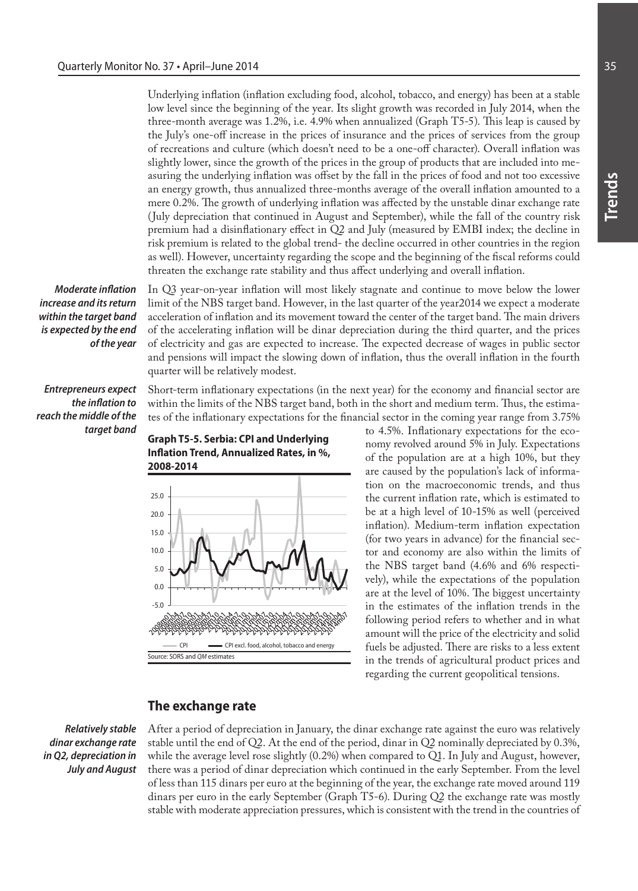Underlying inflation (inflation excluding food, alcohol, tobacco, and energy) has been at a stable low level since the beginning of the year. Its slight growth was recorded in July 2014, when the three-month average was 1.2%, i.e. 4.9% when annualized (Graph T5-5). This leap is caused by the July's one-off increase in the prices of insurance and the prices of services from the group of recreations and culture (which doesn't need to be a one-off character). Overall inflation was slightly lower, since the growth of the prices in the group of products that are included into measuring the underlying inflation was offset by the fall in the prices of food and not too excessive an energy growth, thus annualized three-months average of the overall inflation amounted to a mere 0.2%. The growth of underlying inflation was affected by the unstable dinar exchange rate (July depreciation that continued in August and September), while the fall of the country risk premium had a disinflationary effect in Q2 and July (measured by EMBI index; the decline in risk premium is related to the global trend- the decline occurred in other countries in the region as well). However, uncertainty regarding the scope and the beginning of the fiscal reforms could threaten the exchange rate stability and thus affect underlying and overall inflation.

*Moderate inflation increase and its return within the target band is expected by the end of the year*

In Q3 year-on-year inflation will most likely stagnate and continue to move below the lower limit of the NBS target band. However, in the last quarter of the year2014 we expect a moderate acceleration of inflation and its movement toward the center of the target band. The main drivers of the accelerating inflation will be dinar depreciation during the third quarter, and the prices of electricity and gas are expected to increase. The expected decrease of wages in public sector and pensions will impact the slowing down of inflation, thus the overall inflation in the fourth quarter will be relatively modest.

*Entrepreneurs expect the inflation to reach the middle of the target band* 

Short-term inflationary expectations (in the next year) for the economy and financial sector are within the limits of the NBS target band, both in the short and medium term. Thus, the estimates of the inflationary expectations for the financial sector in the coming year range from 3.75%



**Graph T5-5. Serbia: CPI and Underlying** 

to 4.5%. Inflationary expectations for the economy revolved around 5% in July. Expectations of the population are at a high 10%, but they are caused by the population's lack of information on the macroeconomic trends, and thus the current inflation rate, which is estimated to be at a high level of 10-15% as well (perceived inflation). Medium-term inflation expectation (for two years in advance) for the financial sector and economy are also within the limits of the NBS target band (4.6% and 6% respectively), while the expectations of the population are at the level of 10%. The biggest uncertainty in the estimates of the inflation trends in the following period refers to whether and in what amount will the price of the electricity and solid fuels be adjusted. There are risks to a less extent in the trends of agricultural product prices and regarding the current geopolitical tensions.

## **The exchange rate**

*Relatively stable dinar exchange rate in Q2, depreciation in July and August* After a period of depreciation in January, the dinar exchange rate against the euro was relatively stable until the end of Q2. At the end of the period, dinar in Q2 nominally depreciated by 0.3%, while the average level rose slightly  $(0.2%)$  when compared to Q1. In July and August, however, there was a period of dinar depreciation which continued in the early September. From the level of less than 115 dinars per euro at the beginning of the year, the exchange rate moved around 119 dinars per euro in the early September (Graph T5-6). During Q2 the exchange rate was mostly stable with moderate appreciation pressures, which is consistent with the trend in the countries of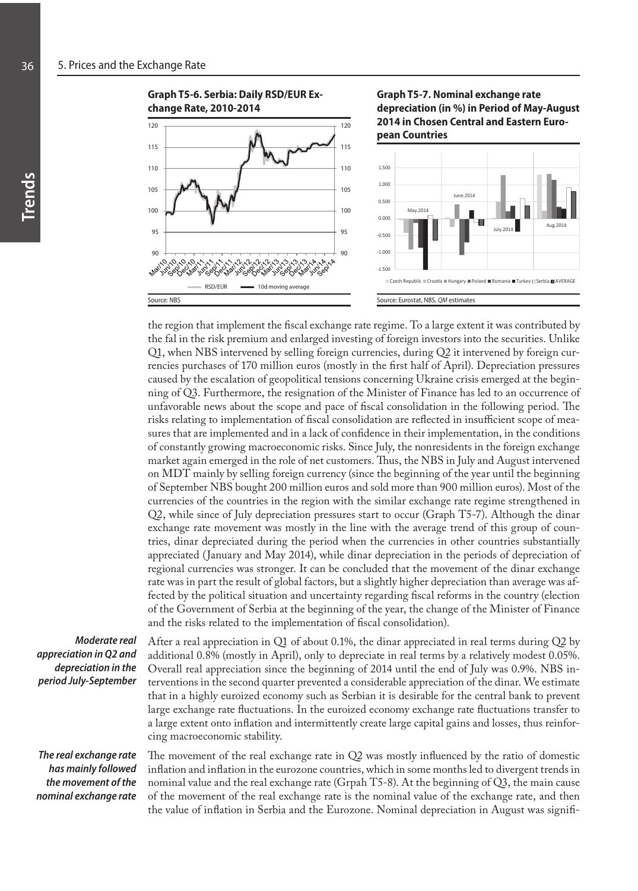



**Graph T5-7. Nominal exchange rate depreciation (in %) in Period of May-August 2014 in Chosen Central and Eastern European Countries**



the region that implement the fiscal exchange rate regime. To a large extent it was contributed by the fal in the risk premium and enlarged investing of foreign investors into the securities. Unlike Q1, when NBS intervened by selling foreign currencies, during Q2 it intervened by foreign currencies purchases of 170 million euros (mostly in the first half of April). Depreciation pressures caused by the escalation of geopolitical tensions concerning Ukraine crisis emerged at the beginning of Q3. Furthermore, the resignation of the Minister of Finance has led to an occurrence of unfavorable news about the scope and pace of fiscal consolidation in the following period. The risks relating to implementation of fiscal consolidation are reflected in insufficient scope of measures that are implemented and in a lack of confidence in their implementation, in the conditions of constantly growing macroeconomic risks. Since July, the nonresidents in the foreign exchange market again emerged in the role of net customers. Thus, the NBS in July and August intervened on MDT mainly by selling foreign currency (since the beginning of the year until the beginning of September NBS bought 200 million euros and sold more than 900 million euros). Most of the currencies of the countries in the region with the similar exchange rate regime strengthened in Q2, while since of July depreciation pressures start to occur (Graph T5-7). Although the dinar exchange rate movement was mostly in the line with the average trend of this group of countries, dinar depreciated during the period when the currencies in other countries substantially appreciated (January and May 2014), while dinar depreciation in the periods of depreciation of regional currencies was stronger. It can be concluded that the movement of the dinar exchange rate was in part the result of global factors, but a slightly higher depreciation than average was affected by the political situation and uncertainty regarding fiscal reforms in the country (election of the Government of Serbia at the beginning of the year, the change of the Minister of Finance and the risks related to the implementation of fiscal consolidation).

*Moderate real appreciation in Q2 and depreciation in the period July-September*

After a real appreciation in Q1 of about 0.1%, the dinar appreciated in real terms during Q2 by additional 0.8% (mostly in April), only to depreciate in real terms by a relatively modest 0.05%. Overall real appreciation since the beginning of 2014 until the end of July was 0.9%. NBS interventions in the second quarter prevented a considerable appreciation of the dinar. We estimate that in a highly euroized economy such as Serbian it is desirable for the central bank to prevent large exchange rate fluctuations. In the euroized economy exchange rate fluctuations transfer to a large extent onto inflation and intermittently create large capital gains and losses, thus reinforcing macroeconomic stability.

*The real exchange rate has mainly followed the movement of the nominal exchange rate* 

The movement of the real exchange rate in Q2 was mostly influenced by the ratio of domestic inflation and inflation in the eurozone countries, which in some months led to divergent trends in nominal value and the real exchange rate (Grpah T5-8). At the beginning of Q3, the main cause of the movement of the real exchange rate is the nominal value of the exchange rate, and then the value of inflation in Serbia and the Eurozone. Nominal depreciation in August was signifi-